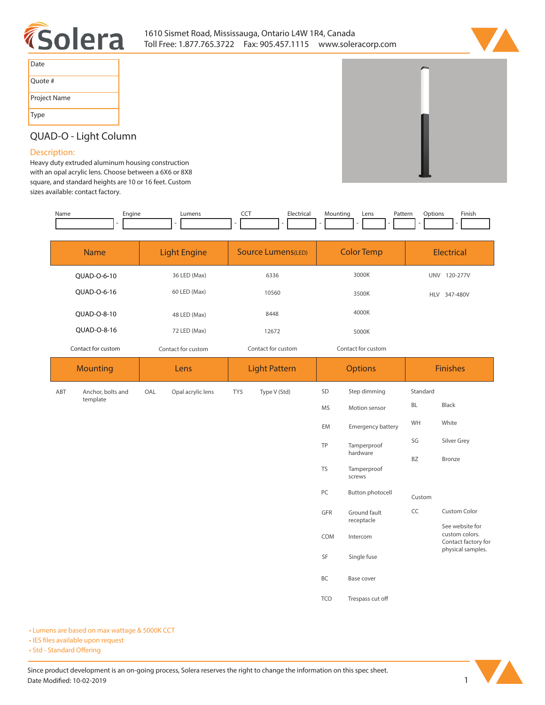



| Date         |
|--------------|
| Quote #      |
| Project Name |
| <b>Type</b>  |

# **QUAD-O - Light Column**

### **Description:**

**Heavy duty extruded aluminum housing construction with an opal acrylic lens. Choose between a 6X6 or 8X8 square, and standard heights are 10 or 16 feet. Custom sizes available: contact factory.** 

| Name | Engine | Lumens | ---<br>$\widetilde{\phantom{a}}$ | Hectrical: | Mounting | Lens | Pattern | Jotions | Finish |
|------|--------|--------|----------------------------------|------------|----------|------|---------|---------|--------|
|      |        |        |                                  |            |          |      |         |         |        |

| <b>Name</b>        | <b>Light Engine</b> | Source Lumens(LED) | <b>Color Temp</b>  | <b>Electrical</b>      |
|--------------------|---------------------|--------------------|--------------------|------------------------|
| OUAD-O-6-10        | 36 LED (Max)        | 6336               | 3000K              | <b>UNV</b><br>120-277V |
| OUAD-0-6-16        | 60 LED (Max)        | 10560              | 3500K              | 347-480V<br><b>HLV</b> |
| OUAD-O-8-10        | 48 LED (Max)        | 8448               | 4000K              |                        |
| OUAD-O-8-16        | 72 LED (Max)        | 12672              | 5000K              |                        |
| Contact for custom | Contact for custom  | Contact for custom | Contact for custom |                        |
|                    |                     |                    |                    |                        |

| <b>Mounting</b>          | Lens                     | <b>Light Pattern</b> | <b>Options</b>                     | <b>Finishes</b>                                          |  |
|--------------------------|--------------------------|----------------------|------------------------------------|----------------------------------------------------------|--|
| Anchor, bolts and<br>ABT | Opal acrylic lens<br>OAL | Type V (Std)<br>TY5  | Step dimming<br>SD                 | Standard                                                 |  |
| template                 |                          |                      | MS<br>Motion sensor                | Black<br>BL                                              |  |
|                          |                          |                      | EM<br>Emergency battery            | WH<br>White                                              |  |
|                          |                          |                      | TP<br>Tamperproof                  | SG<br>Silver Grey                                        |  |
|                          |                          |                      | hardware                           | BZ<br>Bronze                                             |  |
|                          |                          |                      | <b>TS</b><br>Tamperproof<br>screws |                                                          |  |
|                          |                          |                      | PC<br><b>Button photocell</b>      | Custom                                                   |  |
|                          |                          |                      | GFR<br>Ground fault<br>receptacle  | CC<br><b>Custom Color</b>                                |  |
|                          |                          |                      | COM<br>Intercom                    | See website for<br>custom colors.<br>Contact factory for |  |
|                          |                          |                      | SF<br>Single fuse                  | physical samples.                                        |  |
|                          |                          |                      | BC<br>Base cover                   |                                                          |  |
|                          |                          |                      | <b>TCO</b><br>Trespass cut off     |                                                          |  |

**• Lumens are based on max wattage & 5000K CCT**

**• IES files available upon request** 

• Std - Standard Offering

Since product development is an on-going process, Solera reserves the right to change the information on this spec sheet. **Date Modied: 10-02-2019 1**